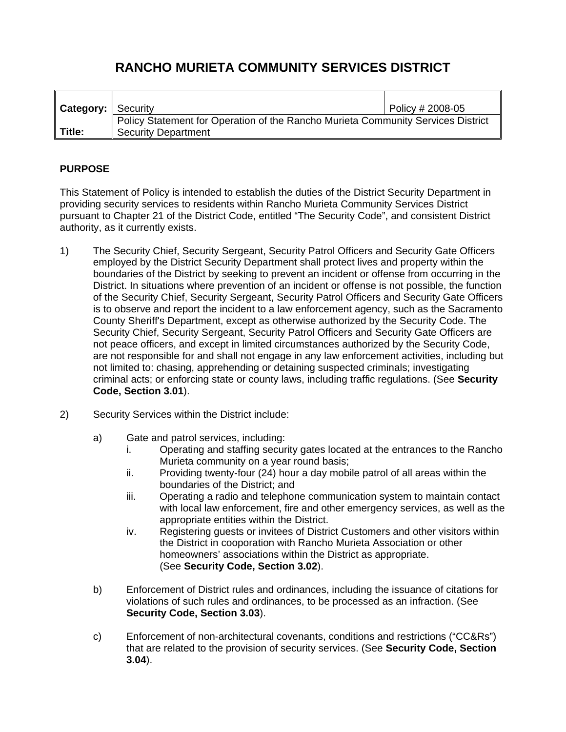## **RANCHO MURIETA COMMUNITY SERVICES DISTRICT**

| <b>Category:</b> Security |                                                                                                                | $\sqrt{}$ Policy # 2008-05 |
|---------------------------|----------------------------------------------------------------------------------------------------------------|----------------------------|
| Title:                    | Policy Statement for Operation of the Rancho Murieta Community Services District<br><b>Security Department</b> |                            |

## **PURPOSE**

This Statement of Policy is intended to establish the duties of the District Security Department in providing security services to residents within Rancho Murieta Community Services District pursuant to Chapter 21 of the District Code, entitled "The Security Code", and consistent District authority, as it currently exists.

- 1) The Security Chief, Security Sergeant, Security Patrol Officers and Security Gate Officers employed by the District Security Department shall protect lives and property within the boundaries of the District by seeking to prevent an incident or offense from occurring in the District. In situations where prevention of an incident or offense is not possible, the function of the Security Chief, Security Sergeant, Security Patrol Officers and Security Gate Officers is to observe and report the incident to a law enforcement agency, such as the Sacramento County Sheriff's Department, except as otherwise authorized by the Security Code. The Security Chief, Security Sergeant, Security Patrol Officers and Security Gate Officers are not peace officers, and except in limited circumstances authorized by the Security Code, are not responsible for and shall not engage in any law enforcement activities, including but not limited to: chasing, apprehending or detaining suspected criminals; investigating criminal acts; or enforcing state or county laws, including traffic regulations. (See **Security Code, Section 3.01**).
- 2) Security Services within the District include:
	- a) Gate and patrol services, including:
		- i. Operating and staffing security gates located at the entrances to the Rancho Murieta community on a year round basis;
		- ii. Providing twenty-four  $(24)$  hour a day mobile patrol of all areas within the boundaries of the District; and
		- iii. Operating a radio and telephone communication system to maintain contact with local law enforcement, fire and other emergency services, as well as the appropriate entities within the District.
		- iv. Registering guests or invitees of District Customers and other visitors within the District in cooporation with Rancho Murieta Association or other homeowners' associations within the District as appropriate. (See **Security Code, Section 3.02**).
	- b) Enforcement of District rules and ordinances, including the issuance of citations for violations of such rules and ordinances, to be processed as an infraction. (See **Security Code, Section 3.03**).
	- c) Enforcement of non-architectural covenants, conditions and restrictions ("CC&Rs") that are related to the provision of security services. (See **Security Code, Section 3.04**).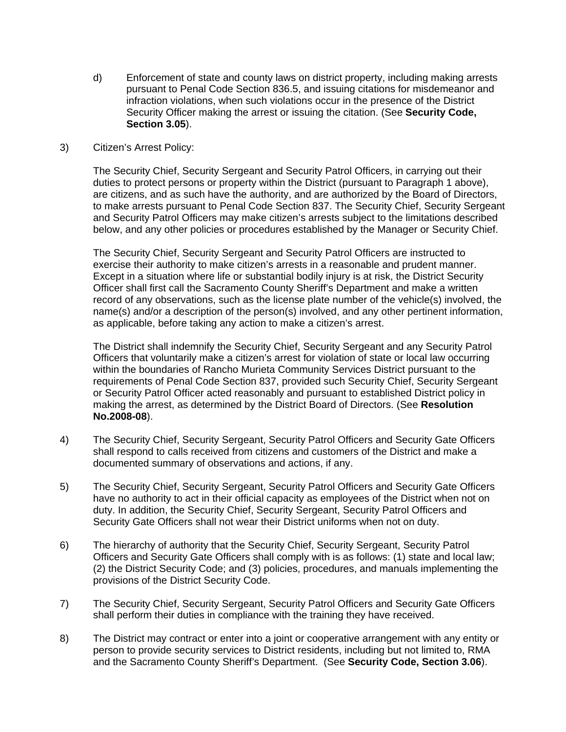d) Enforcement of state and county laws on district property, including making arrests pursuant to Penal Code Section 836.5, and issuing citations for misdemeanor and infraction violations, when such violations occur in the presence of the District Security Officer making the arrest or issuing the citation. (See **Security Code, Section 3.05**).

## 3) Citizen's Arrest Policy:

The Security Chief, Security Sergeant and Security Patrol Officers, in carrying out their duties to protect persons or property within the District (pursuant to Paragraph 1 above), are citizens, and as such have the authority, and are authorized by the Board of Directors, to make arrests pursuant to Penal Code Section 837. The Security Chief, Security Sergeant and Security Patrol Officers may make citizen's arrests subject to the limitations described below, and any other policies or procedures established by the Manager or Security Chief.

The Security Chief, Security Sergeant and Security Patrol Officers are instructed to exercise their authority to make citizen's arrests in a reasonable and prudent manner. Except in a situation where life or substantial bodily injury is at risk, the District Security Officer shall first call the Sacramento County Sheriff's Department and make a written record of any observations, such as the license plate number of the vehicle(s) involved, the name(s) and/or a description of the person(s) involved, and any other pertinent information, as applicable, before taking any action to make a citizen's arrest.

The District shall indemnify the Security Chief, Security Sergeant and any Security Patrol Officers that voluntarily make a citizen's arrest for violation of state or local law occurring within the boundaries of Rancho Murieta Community Services District pursuant to the requirements of Penal Code Section 837, provided such Security Chief, Security Sergeant or Security Patrol Officer acted reasonably and pursuant to established District policy in making the arrest, as determined by the District Board of Directors. (See **Resolution No.2008-08**).

- 4) The Security Chief, Security Sergeant, Security Patrol Officers and Security Gate Officers shall respond to calls received from citizens and customers of the District and make a documented summary of observations and actions, if any.
- 5) The Security Chief, Security Sergeant, Security Patrol Officers and Security Gate Officers have no authority to act in their official capacity as employees of the District when not on duty. In addition, the Security Chief, Security Sergeant, Security Patrol Officers and Security Gate Officers shall not wear their District uniforms when not on duty.
- 6) The hierarchy of authority that the Security Chief, Security Sergeant, Security Patrol Officers and Security Gate Officers shall comply with is as follows: (1) state and local law; (2) the District Security Code; and (3) policies, procedures, and manuals implementing the provisions of the District Security Code.
- 7) The Security Chief, Security Sergeant, Security Patrol Officers and Security Gate Officers shall perform their duties in compliance with the training they have received.
- 8) The District may contract or enter into a joint or cooperative arrangement with any entity or person to provide security services to District residents, including but not limited to, RMA and the Sacramento County Sheriff's Department. (See **Security Code, Section 3.06**).